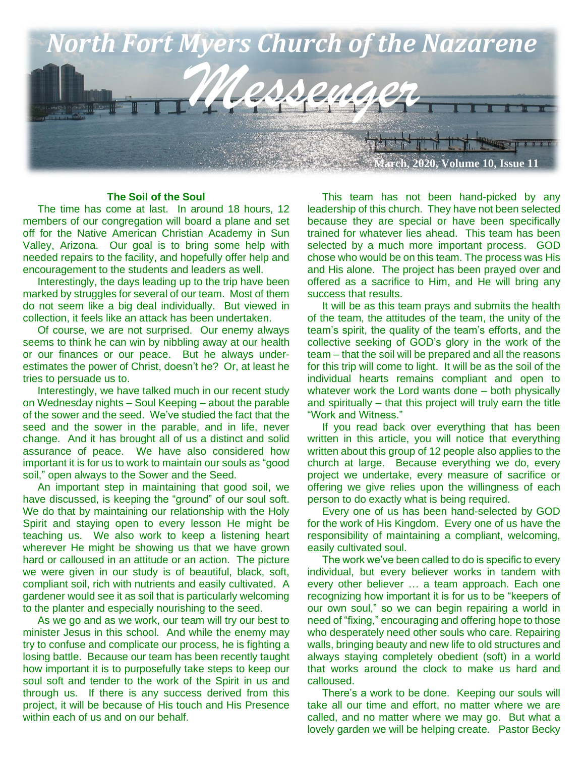

#### **The Soil of the Soul**

 The time has come at last. In around 18 hours, 12 members of our congregation will board a plane and set off for the Native American Christian Academy in Sun Valley, Arizona. Our goal is to bring some help with needed repairs to the facility, and hopefully offer help and encouragement to the students and leaders as well.

 Interestingly, the days leading up to the trip have been marked by struggles for several of our team. Most of them do not seem like a big deal individually. But viewed in collection, it feels like an attack has been undertaken.

 Of course, we are not surprised. Our enemy always seems to think he can win by nibbling away at our health or our finances or our peace. But he always underestimates the power of Christ, doesn't he? Or, at least he tries to persuade us to.

 Interestingly, we have talked much in our recent study on Wednesday nights – Soul Keeping – about the parable of the sower and the seed. We've studied the fact that the seed and the sower in the parable, and in life, never change. And it has brought all of us a distinct and solid assurance of peace. We have also considered how important it is for us to work to maintain our souls as "good soil," open always to the Sower and the Seed.

 An important step in maintaining that good soil, we have discussed, is keeping the "ground" of our soul soft. We do that by maintaining our relationship with the Holy Spirit and staying open to every lesson He might be teaching us. We also work to keep a listening heart wherever He might be showing us that we have grown hard or calloused in an attitude or an action. The picture we were given in our study is of beautiful, black, soft, compliant soil, rich with nutrients and easily cultivated. A gardener would see it as soil that is particularly welcoming to the planter and especially nourishing to the seed.

 As we go and as we work, our team will try our best to minister Jesus in this school. And while the enemy may try to confuse and complicate our process, he is fighting a losing battle. Because our team has been recently taught how important it is to purposefully take steps to keep our soul soft and tender to the work of the Spirit in us and through us. If there is any success derived from this project, it will be because of His touch and His Presence within each of us and on our behalf.

 This team has not been hand-picked by any leadership of this church. They have not been selected because they are special or have been specifically trained for whatever lies ahead. This team has been selected by a much more important process. GOD chose who would be on this team. The process was His and His alone. The project has been prayed over and offered as a sacrifice to Him, and He will bring any success that results.

 It will be as this team prays and submits the health of the team, the attitudes of the team, the unity of the team's spirit, the quality of the team's efforts, and the collective seeking of GOD's glory in the work of the team – that the soil will be prepared and all the reasons for this trip will come to light. It will be as the soil of the individual hearts remains compliant and open to whatever work the Lord wants done – both physically and spiritually – that this project will truly earn the title "Work and Witness."

 If you read back over everything that has been written in this article, you will notice that everything written about this group of 12 people also applies to the church at large. Because everything we do, every project we undertake, every measure of sacrifice or offering we give relies upon the willingness of each person to do exactly what is being required.

 Every one of us has been hand-selected by GOD for the work of His Kingdom. Every one of us have the responsibility of maintaining a compliant, welcoming, easily cultivated soul.

 The work we've been called to do is specific to every individual, but every believer works in tandem with every other believer … a team approach. Each one recognizing how important it is for us to be "keepers of our own soul," so we can begin repairing a world in need of "fixing," encouraging and offering hope to those who desperately need other souls who care. Repairing walls, bringing beauty and new life to old structures and always staying completely obedient (soft) in a world that works around the clock to make us hard and calloused.

 There's a work to be done. Keeping our souls will take all our time and effort, no matter where we are called, and no matter where we may go. But what a lovely garden we will be helping create. Pastor Becky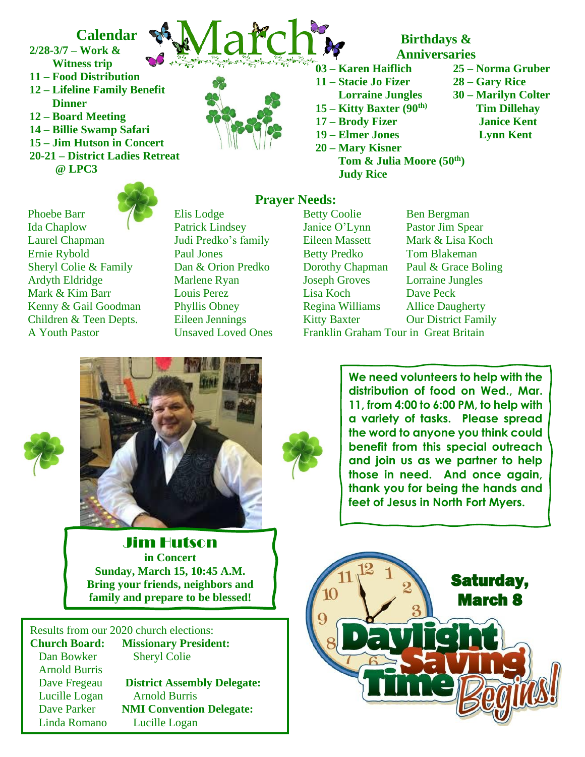## **Calendar**

**2/28-3/7 – Work & Witness trip 11 – Food Distribution 12 – Lifeline Family Benefit**

 **Dinner 12 – Board Meeting 14 – Billie Swamp Safari 15 – Jim Hutson in Concert 20-21 – District Ladies Retreat**

 **@ LPC3**



- **Birthdays & Anniversaries**
- **03 – Karen Haiflich 25 – Norma Gruber**
- **11 – Stacie Jo Fizer 28 – Gary Rice**
- **15 – Kitty Baxter (90th)**
- **17 – Brody Fizer Janice Kent**
- 
- **19 – Elmer Jones Lynn Kent 20 – Mary Kisner**
	- **Tom & Julia Moore (50th) Judy Rice**
- 
- **Lorraine Jungles 30 – Marilyn Colter Tim Dillehay**
	- -
- Phoebe Barr **Elis Lodge** Betty Coolie Ben Bergman Ida Chaplow Patrick Lindsey Janice O'Lynn Pastor Jim Spear Laurel Chapman Judi Predko's family Eileen Massett Mark & Lisa Koch Ernie Rybold Paul Jones Betty Predko Tom Blakeman Sheryl Colie & Family Dan & Orion Predko Dorothy Chapman Paul & Grace Boling Ardyth Eldridge Marlene Ryan Joseph Groves Lorraine Jungles<br>
Mark & Kim Barr Louis Perez Lisa Koch Dave Peck Mark & Kim Barr Louis Perez Lisa Koch Dave Peck Kenny & Gail Goodman Phyllis Obney Regina Williams Allice Daugherty Children & Teen Depts. Eileen Jennings Kitty Baxter Our District Family



## **Prayer Needs:**

A Youth Pastor Unsaved Loved Ones Franklin Graham Tour in Great Britain





**We need volunteers to help with the distribution of food on Wed., Mar. 11, from 4:00 to 6:00 PM, to help with a variety of tasks. Please spread the word to anyone you think could benefit from this special outreach and join us as we partner to help those in need. And once again, thank you for being the hands and feet of Jesus in North Fort Myers.**

> Saturday, March 8

Jim Hutson **in Concert Sunday, March 15, 10:45 A.M. Bring your friends, neighbors and family and prepare to be blessed!**

Results from our 2020 church elections: **Church Board: Missionary President:** Dan Bowker Sheryl Colie Arnold Burris Dave Fregeau **District Assembly Delegate:** Lucille Logan Arnold Burris Dave Parker **NMI Convention Delegate:**

Linda Romano Lucille Logan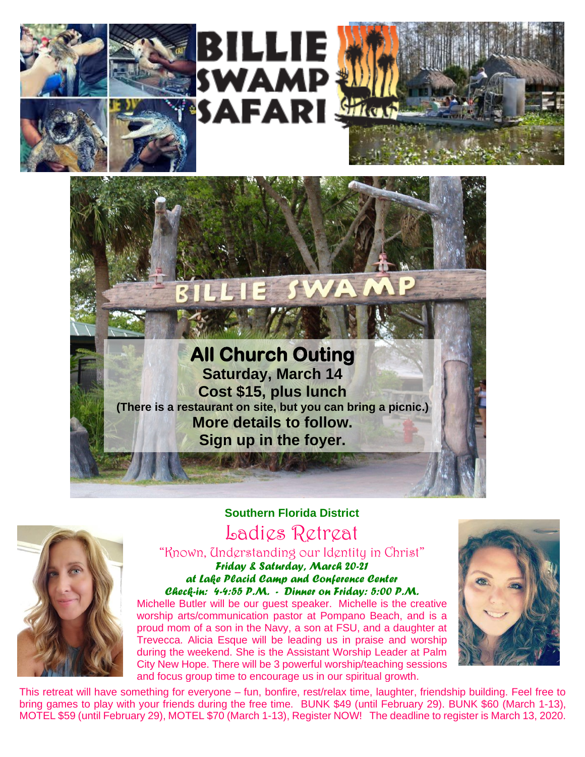

**SWA** 

# **All Church Outing Saturday, March 14 Cost \$15, plus lunch (There is a restaurant on site, but you can bring a picnic.) More details to follow. Sign up in the foyer.**



**Southern Florida District** Ladies Retreat

"Known, Understanding our Identity in Christ" *Friday & Saturday, March 20-21 at Lake Placid Camp and Conference Center Check-in: 4-4:55 P.M. - Dinner on Friday: 5:00 P.M.*

Michelle Butler will be our guest speaker. Michelle is the creative worship arts/communication pastor at Pompano Beach, and is a proud mom of a son in the Navy, a son at FSU, and a daughter at Trevecca. Alicia Esque will be leading us in praise and worship during the weekend. She is the Assistant Worship Leader at Palm City New Hope. There will be 3 powerful worship/teaching sessions and focus group time to encourage us in our spiritual growth.



This retreat will have something for everyone – fun, bonfire, rest/relax time, laughter, friendship building. Feel free to bring games to play with your friends during the free time. BUNK \$49 (until February 29). BUNK \$60 (March 1-13), MOTEL \$59 (until February 29), MOTEL \$70 (March 1-13), Register NOW! The deadline to register is March 13, 2020.